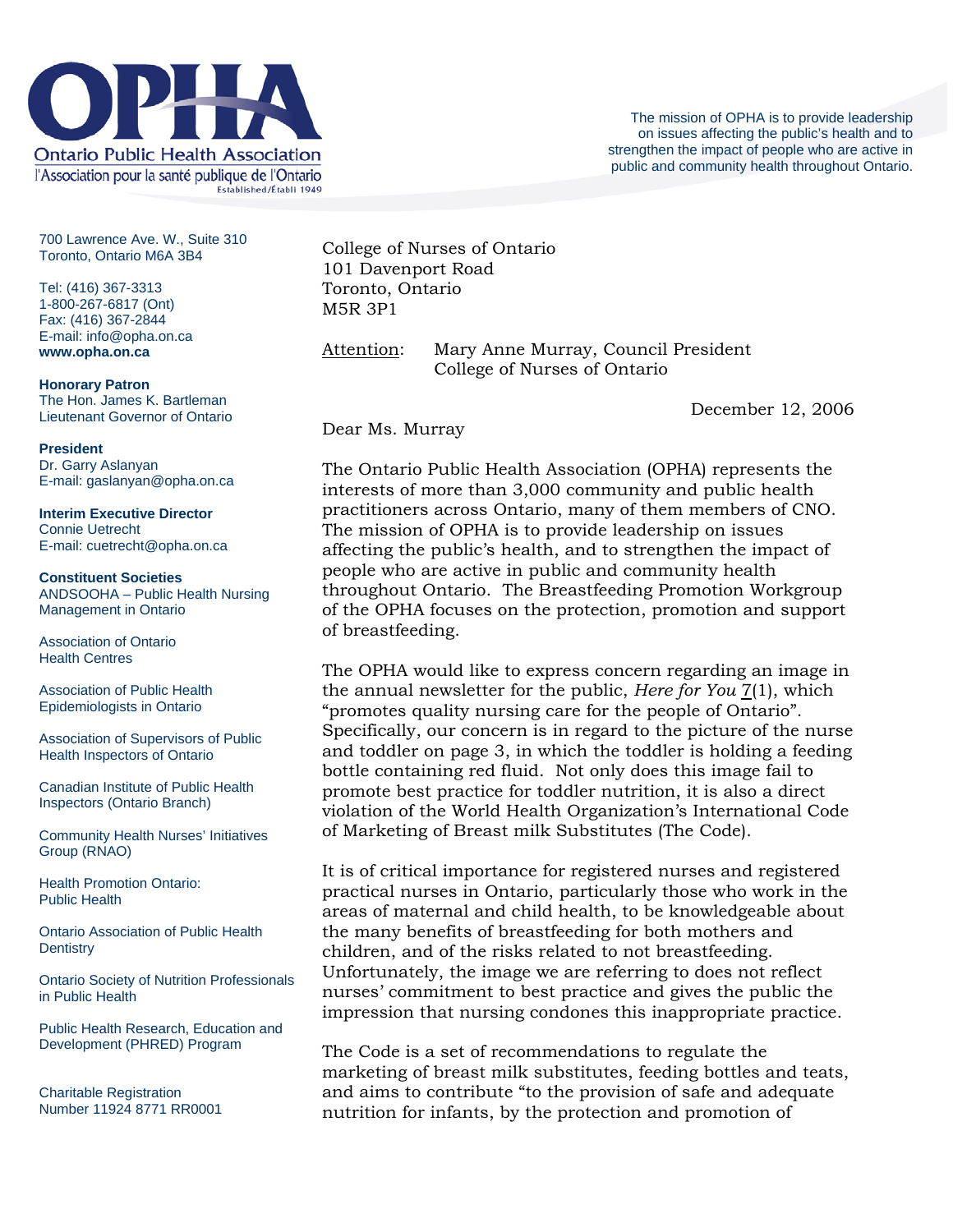

700 Lawrence Ave. W., Suite 310 Toronto, Ontario M6A 3B4

Tel: (416) 367-3313 1-800-267-6817 (Ont) Fax: (416) 367-2844 E-mail: info@opha.on.ca **www.opha.on.ca** 

**Honorary Patron**  The Hon. James K. Bartleman Lieutenant Governor of Ontario

**President**  Dr. Garry Aslanyan E-mail: gaslanyan@opha.on.ca

**Interim Executive Director**  Connie Uetrecht E-mail: cuetrecht@opha.on.ca

**Constituent Societies**  ANDSOOHA – Public Health Nursing Management in Ontario

Association of Ontario Health Centres

Association of Public Health Epidemiologists in Ontario

Association of Supervisors of Public Health Inspectors of Ontario

Canadian Institute of Public Health Inspectors (Ontario Branch)

Community Health Nurses' Initiatives Group (RNAO)

Health Promotion Ontario: Public Health

Ontario Association of Public Health **Dentistry** 

Ontario Society of Nutrition Professionals in Public Health

Public Health Research, Education and Development (PHRED) Program

Charitable Registration Number 11924 8771 RR0001 College of Nurses of Ontario 101 Davenport Road Toronto, Ontario M5R 3P1

Attention: Mary Anne Murray, Council President College of Nurses of Ontario

December 12, 2006

Dear Ms. Murray

The Ontario Public Health Association (OPHA) represents the interests of more than 3,000 community and public health practitioners across Ontario, many of them members of CNO. The mission of OPHA is to provide leadership on issues affecting the public's health, and to strengthen the impact of people who are active in public and community health throughout Ontario. The Breastfeeding Promotion Workgroup of the OPHA focuses on the protection, promotion and support of breastfeeding.

The OPHA would like to express concern regarding an image in the annual newsletter for the public, *Here for You* 7(1), which "promotes quality nursing care for the people of Ontario". Specifically, our concern is in regard to the picture of the nurse and toddler on page 3, in which the toddler is holding a feeding bottle containing red fluid. Not only does this image fail to promote best practice for toddler nutrition, it is also a direct violation of the World Health Organization's International Code of Marketing of Breast milk Substitutes (The Code).

It is of critical importance for registered nurses and registered practical nurses in Ontario, particularly those who work in the areas of maternal and child health, to be knowledgeable about the many benefits of breastfeeding for both mothers and children, and of the risks related to not breastfeeding. Unfortunately, the image we are referring to does not reflect nurses' commitment to best practice and gives the public the impression that nursing condones this inappropriate practice.

The Code is a set of recommendations to regulate the marketing of breast milk substitutes, feeding bottles and teats, and aims to contribute "to the provision of safe and adequate nutrition for infants, by the protection and promotion of